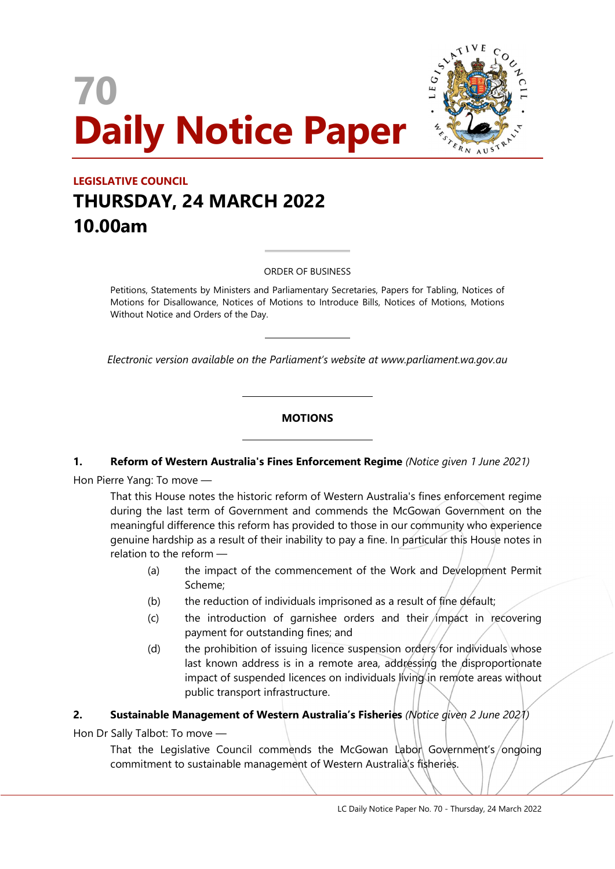# 70 Daily Notice Paper



# LEGISLATIVE COUNCIL THURSDAY, 24 MARCH 2022 10.00am

#### ORDER OF BUSINESS

 $\overline{a}$ 

 $\overline{a}$ 

 $\overline{a}$ 

 $\overline{a}$ 

Petitions, Statements by Ministers and Parliamentary Secretaries, Papers for Tabling, Notices of Motions for Disallowance, Notices of Motions to Introduce Bills, Notices of Motions, Motions Without Notice and Orders of the Day.

Electronic version available on the Parliament's website at www.parliament.wa.gov.au

# **MOTIONS**

#### 1. Reform of Western Australia's Fines Enforcement Regime (Notice given 1 June 2021)

Hon Pierre Yang: To move —

That this House notes the historic reform of Western Australia's fines enforcement regime during the last term of Government and commends the McGowan Government on the meaningful difference this reform has provided to those in our community who experience genuine hardship as a result of their inability to pay a fine. In particular this House notes in relation to the reform —

- (a) the impact of the commencement of the Work and Development Permit Scheme;
- (b) the reduction of individuals imprisoned as a result of fine default;
- $(c)$  the introduction of garnishee orders and their impact in recovering payment for outstanding fines; and
- (d) the prohibition of issuing licence suspension orders for individuals whose last known address is in a remote area, addressing the disproportionate impact of suspended licences on individuals living in remote areas without public transport infrastructure.

#### 2. Sustainable Management of Western Australia's Fisheries (Notice given 2 June 2021)

Hon Dr Sally Talbot: To move —

That the Legislative Council commends the McGowan Labon Government's/ongoing commitment to sustainable management of Western Australia's fisheries.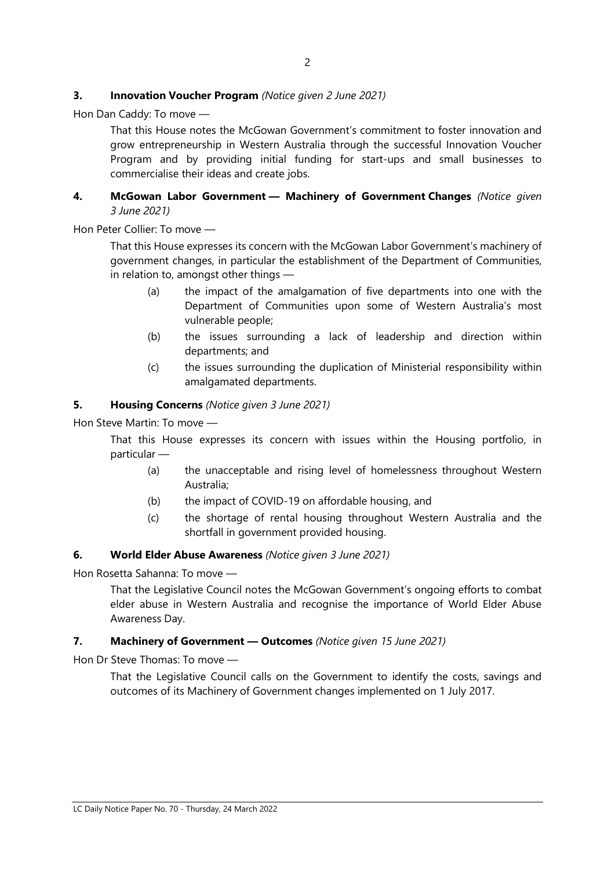# **3.** Innovation Voucher Program (Notice given 2 June 2021)

Hon Dan Caddy: To move —

That this House notes the McGowan Government's commitment to foster innovation and grow entrepreneurship in Western Australia through the successful Innovation Voucher Program and by providing initial funding for start-ups and small businesses to commercialise their ideas and create jobs.

# 4. McGowan Labor Government - Machinery of Government Changes (Notice given 3 June 2021)

Hon Peter Collier: To move —

That this House expresses its concern with the McGowan Labor Government's machinery of government changes, in particular the establishment of the Department of Communities, in relation to, amongst other things —

- (a) the impact of the amalgamation of five departments into one with the Department of Communities upon some of Western Australia's most vulnerable people;
- (b) the issues surrounding a lack of leadership and direction within departments; and
- (c) the issues surrounding the duplication of Ministerial responsibility within amalgamated departments.

### 5. Housing Concerns (Notice given 3 June 2021)

Hon Steve Martin: To move —

That this House expresses its concern with issues within the Housing portfolio, in particular —

- (a) the unacceptable and rising level of homelessness throughout Western Australia;
- (b) the impact of COVID-19 on affordable housing, and
- (c) the shortage of rental housing throughout Western Australia and the shortfall in government provided housing.

#### 6. World Elder Abuse Awareness (Notice given 3 June 2021)

Hon Rosetta Sahanna: To move —

That the Legislative Council notes the McGowan Government's ongoing efforts to combat elder abuse in Western Australia and recognise the importance of World Elder Abuse Awareness Day.

#### 7. Machinery of Government - Outcomes (Notice given 15 June 2021)

Hon Dr Steve Thomas: To move —

That the Legislative Council calls on the Government to identify the costs, savings and outcomes of its Machinery of Government changes implemented on 1 July 2017.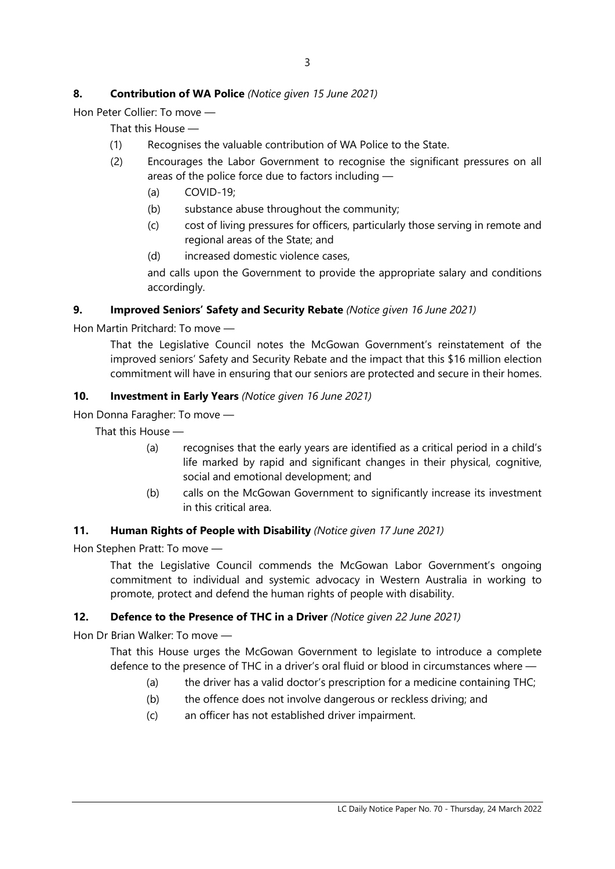# 8. Contribution of WA Police (Notice given 15 June 2021)

Hon Peter Collier: To move —

That this House —

- (1) Recognises the valuable contribution of WA Police to the State.
- (2) Encourages the Labor Government to recognise the significant pressures on all areas of the police force due to factors including —
	- (a) COVID-19;
	- (b) substance abuse throughout the community;
	- (c) cost of living pressures for officers, particularly those serving in remote and regional areas of the State; and
	- (d) increased domestic violence cases,

and calls upon the Government to provide the appropriate salary and conditions accordingly.

# 9. Improved Seniors' Safety and Security Rebate (Notice given 16 June 2021)

Hon Martin Pritchard: To move —

That the Legislative Council notes the McGowan Government's reinstatement of the improved seniors' Safety and Security Rebate and the impact that this \$16 million election commitment will have in ensuring that our seniors are protected and secure in their homes.

# 10. Investment in Early Years (Notice given 16 June 2021)

Hon Donna Faragher: To move —

That this House —

- (a) recognises that the early years are identified as a critical period in a child's life marked by rapid and significant changes in their physical, cognitive, social and emotional development; and
- (b) calls on the McGowan Government to significantly increase its investment in this critical area.

#### 11. Human Rights of People with Disability (Notice given 17 June 2021)

Hon Stephen Pratt: To move —

That the Legislative Council commends the McGowan Labor Government's ongoing commitment to individual and systemic advocacy in Western Australia in working to promote, protect and defend the human rights of people with disability.

# 12. Defence to the Presence of THC in a Driver (Notice given 22 June 2021)

Hon Dr Brian Walker: To move —

That this House urges the McGowan Government to legislate to introduce a complete defence to the presence of THC in a driver's oral fluid or blood in circumstances where —

- (a) the driver has a valid doctor's prescription for a medicine containing THC;
- (b) the offence does not involve dangerous or reckless driving; and
- (c) an officer has not established driver impairment.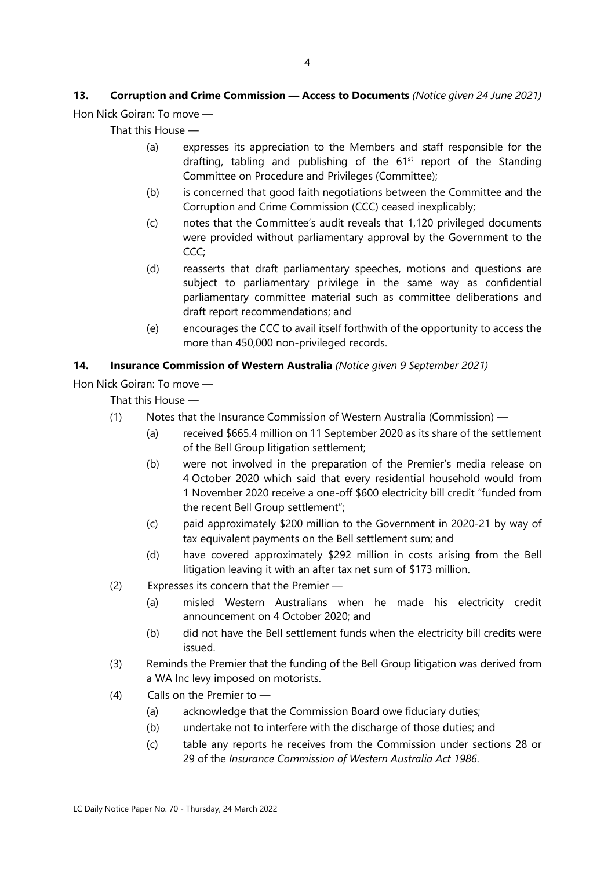# 13. Corruption and Crime Commission - Access to Documents (Notice given 24 June 2021) Hon Nick Goiran: To move —

That this House —

- (a) expresses its appreciation to the Members and staff responsible for the drafting, tabling and publishing of the  $61<sup>st</sup>$  report of the Standing Committee on Procedure and Privileges (Committee);
- (b) is concerned that good faith negotiations between the Committee and the Corruption and Crime Commission (CCC) ceased inexplicably;
- (c) notes that the Committee's audit reveals that 1,120 privileged documents were provided without parliamentary approval by the Government to the CCC;
- (d) reasserts that draft parliamentary speeches, motions and questions are subject to parliamentary privilege in the same way as confidential parliamentary committee material such as committee deliberations and draft report recommendations; and
- (e) encourages the CCC to avail itself forthwith of the opportunity to access the more than 450,000 non-privileged records.

# 14. Insurance Commission of Western Australia (Notice given 9 September 2021)

Hon Nick Goiran: To move —

That this House —

- (1) Notes that the Insurance Commission of Western Australia (Commission)
	- (a) received \$665.4 million on 11 September 2020 as its share of the settlement of the Bell Group litigation settlement;
	- (b) were not involved in the preparation of the Premier's media release on 4 October 2020 which said that every residential household would from 1 November 2020 receive a one-off \$600 electricity bill credit "funded from the recent Bell Group settlement";
	- (c) paid approximately \$200 million to the Government in 2020-21 by way of tax equivalent payments on the Bell settlement sum; and
	- (d) have covered approximately \$292 million in costs arising from the Bell litigation leaving it with an after tax net sum of \$173 million.
- (2) Expresses its concern that the Premier
	- (a) misled Western Australians when he made his electricity credit announcement on 4 October 2020; and
	- (b) did not have the Bell settlement funds when the electricity bill credits were issued.
- (3) Reminds the Premier that the funding of the Bell Group litigation was derived from a WA Inc levy imposed on motorists.
- (4) Calls on the Premier to
	- (a) acknowledge that the Commission Board owe fiduciary duties;
	- (b) undertake not to interfere with the discharge of those duties; and
	- (c) table any reports he receives from the Commission under sections 28 or 29 of the Insurance Commission of Western Australia Act 1986.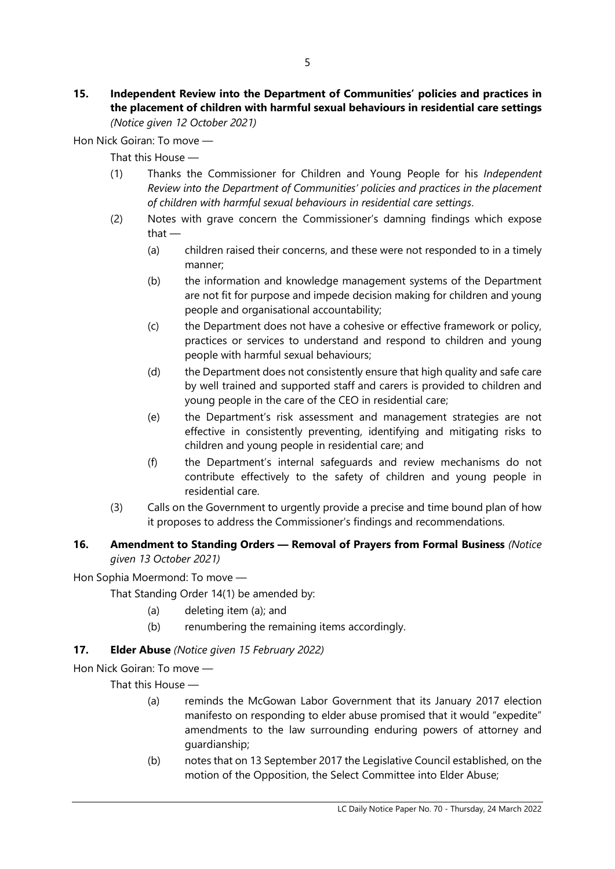#### 15. Independent Review into the Department of Communities' policies and practices in the placement of children with harmful sexual behaviours in residential care settings (Notice given 12 October 2021)

Hon Nick Goiran: To move —

That this House —

- (1) Thanks the Commissioner for Children and Young People for his Independent Review into the Department of Communities' policies and practices in the placement of children with harmful sexual behaviours in residential care settings.
- (2) Notes with grave concern the Commissioner's damning findings which expose that —
	- (a) children raised their concerns, and these were not responded to in a timely manner;
	- (b) the information and knowledge management systems of the Department are not fit for purpose and impede decision making for children and young people and organisational accountability;
	- (c) the Department does not have a cohesive or effective framework or policy, practices or services to understand and respond to children and young people with harmful sexual behaviours;
	- (d) the Department does not consistently ensure that high quality and safe care by well trained and supported staff and carers is provided to children and young people in the care of the CEO in residential care;
	- (e) the Department's risk assessment and management strategies are not effective in consistently preventing, identifying and mitigating risks to children and young people in residential care; and
	- (f) the Department's internal safeguards and review mechanisms do not contribute effectively to the safety of children and young people in residential care.
- (3) Calls on the Government to urgently provide a precise and time bound plan of how it proposes to address the Commissioner's findings and recommendations.

# 16. Amendment to Standing Orders - Removal of Prayers from Formal Business (Notice given 13 October 2021)

Hon Sophia Moermond: To move —

That Standing Order 14(1) be amended by:

- (a) deleting item (a); and
- (b) renumbering the remaining items accordingly.

# 17. **Elder Abuse** (Notice given 15 February 2022)

Hon Nick Goiran: To move —

That this House —

- (a) reminds the McGowan Labor Government that its January 2017 election manifesto on responding to elder abuse promised that it would "expedite" amendments to the law surrounding enduring powers of attorney and guardianship;
- (b) notes that on 13 September 2017 the Legislative Council established, on the motion of the Opposition, the Select Committee into Elder Abuse;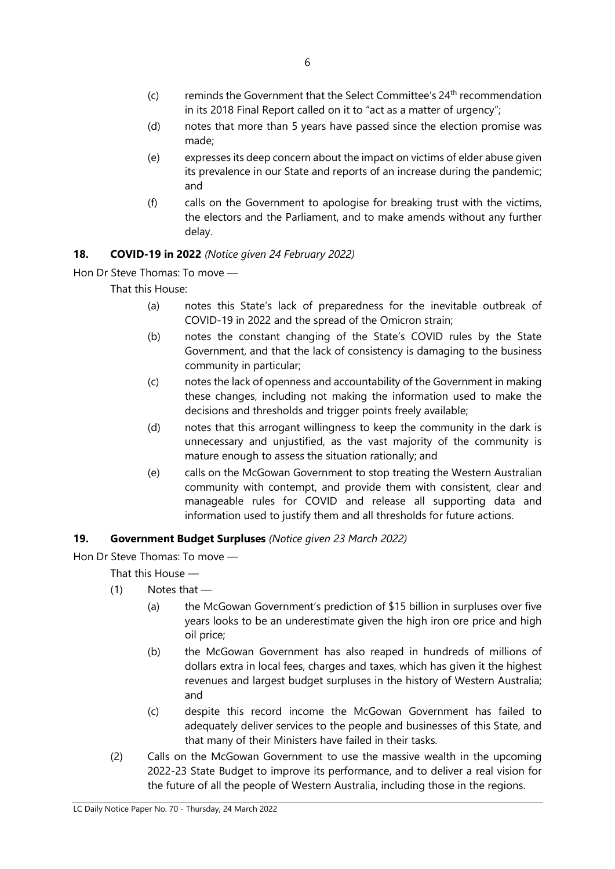- $(c)$  reminds the Government that the Select Committee's  $24<sup>th</sup>$  recommendation in its 2018 Final Report called on it to "act as a matter of urgency";
- (d) notes that more than 5 years have passed since the election promise was made;
- (e) expresses its deep concern about the impact on victims of elder abuse given its prevalence in our State and reports of an increase during the pandemic; and
- (f) calls on the Government to apologise for breaking trust with the victims, the electors and the Parliament, and to make amends without any further delay.

# 18. COVID-19 in 2022 (Notice given 24 February 2022)

Hon Dr Steve Thomas: To move —

That this House:

- (a) notes this State's lack of preparedness for the inevitable outbreak of COVID-19 in 2022 and the spread of the Omicron strain;
- (b) notes the constant changing of the State's COVID rules by the State Government, and that the lack of consistency is damaging to the business community in particular;
- (c) notes the lack of openness and accountability of the Government in making these changes, including not making the information used to make the decisions and thresholds and trigger points freely available;
- (d) notes that this arrogant willingness to keep the community in the dark is unnecessary and unjustified, as the vast majority of the community is mature enough to assess the situation rationally; and
- (e) calls on the McGowan Government to stop treating the Western Australian community with contempt, and provide them with consistent, clear and manageable rules for COVID and release all supporting data and information used to justify them and all thresholds for future actions.

# 19. Government Budget Surpluses (Notice given 23 March 2022)

Hon Dr Steve Thomas: To move —

That this House —

- $(1)$  Notes that
	- (a) the McGowan Government's prediction of \$15 billion in surpluses over five years looks to be an underestimate given the high iron ore price and high oil price;
	- (b) the McGowan Government has also reaped in hundreds of millions of dollars extra in local fees, charges and taxes, which has given it the highest revenues and largest budget surpluses in the history of Western Australia; and
	- (c) despite this record income the McGowan Government has failed to adequately deliver services to the people and businesses of this State, and that many of their Ministers have failed in their tasks.
- (2) Calls on the McGowan Government to use the massive wealth in the upcoming 2022-23 State Budget to improve its performance, and to deliver a real vision for the future of all the people of Western Australia, including those in the regions.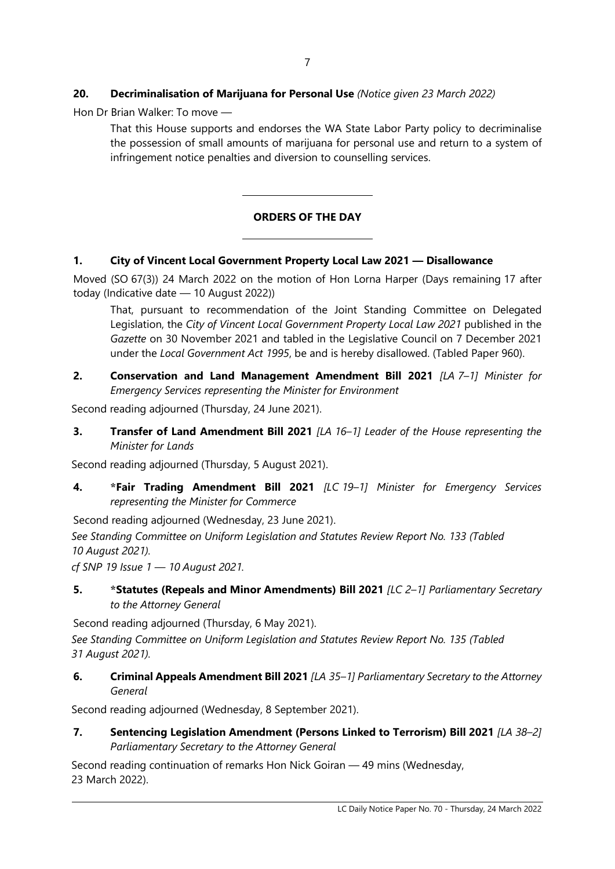# 20. Decriminalisation of Marijuana for Personal Use (Notice given 23 March 2022)

Hon Dr Brian Walker: To move —

That this House supports and endorses the WA State Labor Party policy to decriminalise the possession of small amounts of marijuana for personal use and return to a system of infringement notice penalties and diversion to counselling services.

# ORDERS OF THE DAY

# 1. City of Vincent Local Government Property Local Law 2021 — Disallowance

 $\overline{a}$ 

 $\overline{a}$ 

Moved (SO 67(3)) 24 March 2022 on the motion of Hon Lorna Harper (Days remaining 17 after today (Indicative date — 10 August 2022))

That, pursuant to recommendation of the Joint Standing Committee on Delegated Legislation, the City of Vincent Local Government Property Local Law 2021 published in the Gazette on 30 November 2021 and tabled in the Legislative Council on 7 December 2021 under the Local Government Act 1995, be and is hereby disallowed. (Tabled Paper 960).

2. Conservation and Land Management Amendment Bill 2021 [LA 7-1] Minister for Emergency Services representing the Minister for Environment

Second reading adjourned (Thursday, 24 June 2021).

3. Transfer of Land Amendment Bill 2021 [LA 16-1] Leader of the House representing the Minister for Lands

Second reading adjourned (Thursday, 5 August 2021).

4. \*Fair Trading Amendment Bill 2021 [LC 19-1] Minister for Emergency Services representing the Minister for Commerce

Second reading adjourned (Wednesday, 23 June 2021).

See Standing Committee on Uniform Legislation and Statutes Review Report No. 133 (Tabled 10 August 2021).

cf SNP 19 Issue  $1 - 10$  August 2021.

5. \* \*Statutes (Repeals and Minor Amendments) Bill 2021 [LC 2-1] Parliamentary Secretary to the Attorney General

Second reading adjourned (Thursday, 6 May 2021).

See Standing Committee on Uniform Legislation and Statutes Review Report No. 135 (Tabled 31 August 2021).

6. Criminal Appeals Amendment Bill 2021 [LA 35-1] Parliamentary Secretary to the Attorney General

Second reading adjourned (Wednesday, 8 September 2021).

7. Sentencing Legislation Amendment (Persons Linked to Terrorism) Bill 2021 [LA 38-2] Parliamentary Secretary to the Attorney General

Second reading continuation of remarks Hon Nick Goiran — 49 mins (Wednesday, 23 March 2022).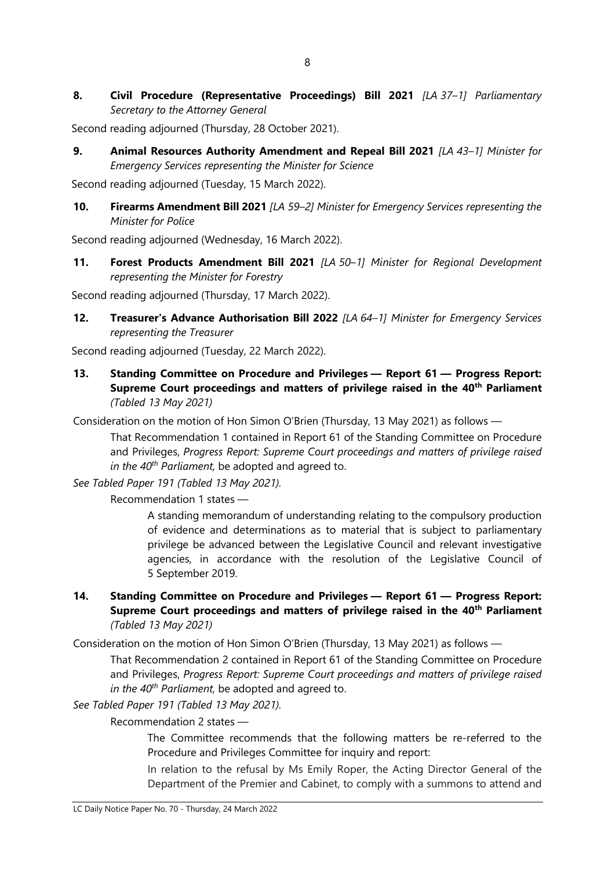8. Civil Procedure (Representative Proceedings) Bill 2021 [LA 37-1] Parliamentary Secretary to the Attorney General

Second reading adjourned (Thursday, 28 October 2021).

9. Animal Resources Authority Amendment and Repeal Bill 2021 [LA 43-1] Minister for Emergency Services representing the Minister for Science

Second reading adjourned (Tuesday, 15 March 2022).

10. Firearms Amendment Bill 2021 [LA 59-2] Minister for Emergency Services representing the Minister for Police

Second reading adjourned (Wednesday, 16 March 2022).

11. Forest Products Amendment Bill 2021 [LA 50-1] Minister for Regional Development representing the Minister for Forestry

Second reading adjourned (Thursday, 17 March 2022).

12. Treasurer's Advance Authorisation Bill 2022 [LA 64-1] Minister for Emergency Services representing the Treasurer

Second reading adjourned (Tuesday, 22 March 2022).

13. Standing Committee on Procedure and Privileges — Report 61 — Progress Report: Supreme Court proceedings and matters of privilege raised in the 40<sup>th</sup> Parliament (Tabled 13 May 2021)

Consideration on the motion of Hon Simon O'Brien (Thursday, 13 May 2021) as follows —

That Recommendation 1 contained in Report 61 of the Standing Committee on Procedure and Privileges, Progress Report: Supreme Court proceedings and matters of privilege raised in the  $40^{th}$  Parliament, be adopted and agreed to.

See Tabled Paper 191 (Tabled 13 May 2021).

Recommendation 1 states —

A standing memorandum of understanding relating to the compulsory production of evidence and determinations as to material that is subject to parliamentary privilege be advanced between the Legislative Council and relevant investigative agencies, in accordance with the resolution of the Legislative Council of 5 September 2019.

# 14. Standing Committee on Procedure and Privileges — Report 61 — Progress Report: Supreme Court proceedings and matters of privilege raised in the 40<sup>th</sup> Parliament (Tabled 13 May 2021)

Consideration on the motion of Hon Simon O'Brien (Thursday, 13 May 2021) as follows —

That Recommendation 2 contained in Report 61 of the Standing Committee on Procedure and Privileges, Progress Report: Supreme Court proceedings and matters of privilege raised in the  $40^{th}$  Parliament, be adopted and agreed to.

See Tabled Paper 191 (Tabled 13 May 2021).

Recommendation 2 states —

The Committee recommends that the following matters be re-referred to the Procedure and Privileges Committee for inquiry and report:

In relation to the refusal by Ms Emily Roper, the Acting Director General of the Department of the Premier and Cabinet, to comply with a summons to attend and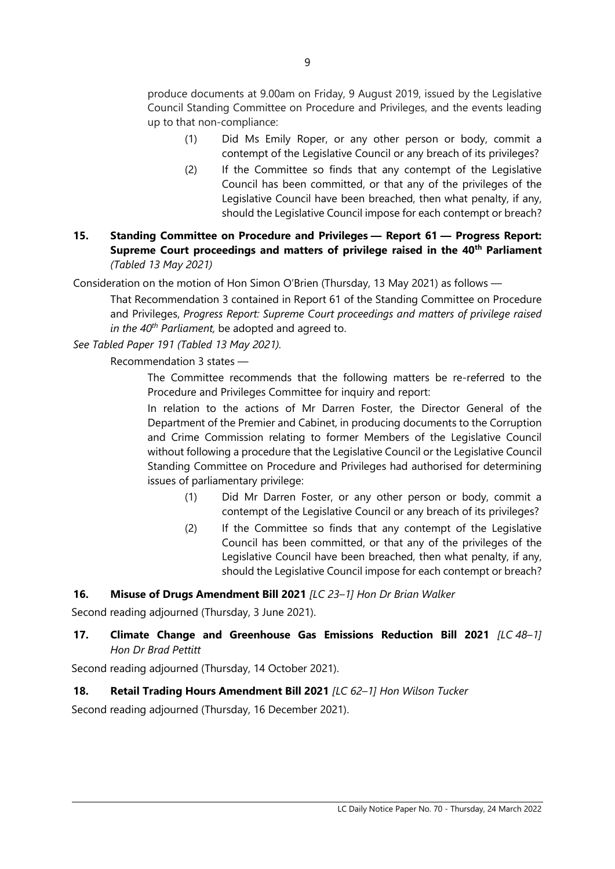produce documents at 9.00am on Friday, 9 August 2019, issued by the Legislative Council Standing Committee on Procedure and Privileges, and the events leading up to that non-compliance:

- (1) Did Ms Emily Roper, or any other person or body, commit a contempt of the Legislative Council or any breach of its privileges?
- (2) If the Committee so finds that any contempt of the Legislative Council has been committed, or that any of the privileges of the Legislative Council have been breached, then what penalty, if any, should the Legislative Council impose for each contempt or breach?
- 15. Standing Committee on Procedure and Privileges Report 61 Progress Report: Supreme Court proceedings and matters of privilege raised in the 40<sup>th</sup> Parliament (Tabled 13 May 2021)

Consideration on the motion of Hon Simon O'Brien (Thursday, 13 May 2021) as follows —

That Recommendation 3 contained in Report 61 of the Standing Committee on Procedure and Privileges, Progress Report: Supreme Court proceedings and matters of privilege raised in the  $40^{th}$  Parliament, be adopted and agreed to.

See Tabled Paper 191 (Tabled 13 May 2021).

Recommendation 3 states —

The Committee recommends that the following matters be re-referred to the Procedure and Privileges Committee for inquiry and report:

In relation to the actions of Mr Darren Foster, the Director General of the Department of the Premier and Cabinet, in producing documents to the Corruption and Crime Commission relating to former Members of the Legislative Council without following a procedure that the Legislative Council or the Legislative Council Standing Committee on Procedure and Privileges had authorised for determining issues of parliamentary privilege:

- (1) Did Mr Darren Foster, or any other person or body, commit a contempt of the Legislative Council or any breach of its privileges?
- (2) If the Committee so finds that any contempt of the Legislative Council has been committed, or that any of the privileges of the Legislative Council have been breached, then what penalty, if any, should the Legislative Council impose for each contempt or breach?

# 16. Misuse of Drugs Amendment Bill 2021 [LC 23-1] Hon Dr Brian Walker

Second reading adjourned (Thursday, 3 June 2021).

# 17. Climate Change and Greenhouse Gas Emissions Reduction Bill 2021 [LC 48-1] Hon Dr Brad Pettitt

Second reading adjourned (Thursday, 14 October 2021).

#### 18. Retail Trading Hours Amendment Bill 2021 [LC 62-1] Hon Wilson Tucker

Second reading adjourned (Thursday, 16 December 2021).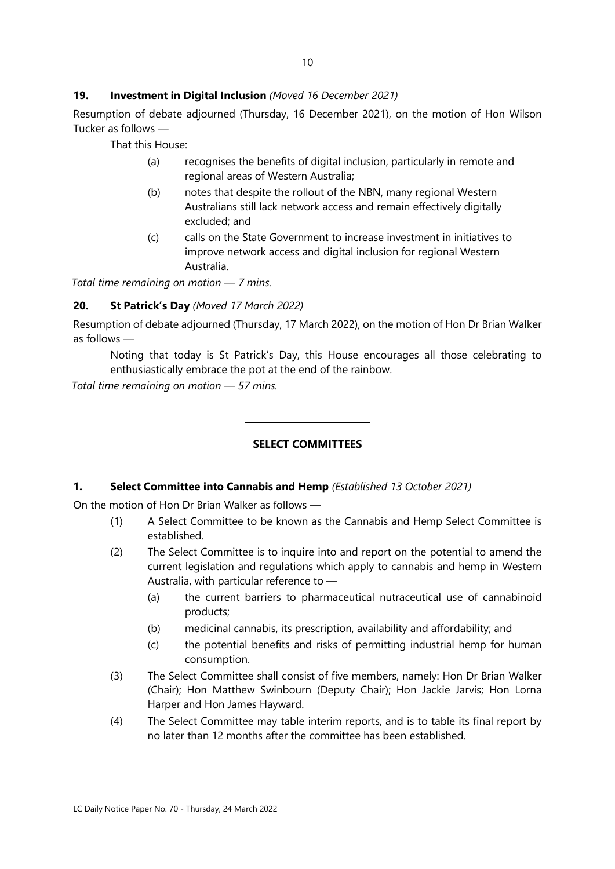# 19. Investment in Digital Inclusion (Moved 16 December 2021)

Resumption of debate adjourned (Thursday, 16 December 2021), on the motion of Hon Wilson Tucker as follows —

That this House:

- (a) recognises the benefits of digital inclusion, particularly in remote and regional areas of Western Australia;
- (b) notes that despite the rollout of the NBN, many regional Western Australians still lack network access and remain effectively digitally excluded; and
- (c) calls on the State Government to increase investment in initiatives to improve network access and digital inclusion for regional Western Australia.

Total time remaining on motion — 7 mins.

# 20. St Patrick's Day (Moved 17 March 2022)

Resumption of debate adjourned (Thursday, 17 March 2022), on the motion of Hon Dr Brian Walker as follows —

Noting that today is St Patrick's Day, this House encourages all those celebrating to enthusiastically embrace the pot at the end of the rainbow.

Total time remaining on motion — 57 mins.

# SELECT COMMITTEES

#### 1. Select Committee into Cannabis and Hemp (Established 13 October 2021)

 $\overline{a}$ 

 $\overline{a}$ 

On the motion of Hon Dr Brian Walker as follows —

- (1) A Select Committee to be known as the Cannabis and Hemp Select Committee is established.
- (2) The Select Committee is to inquire into and report on the potential to amend the current legislation and regulations which apply to cannabis and hemp in Western Australia, with particular reference to —
	- (a) the current barriers to pharmaceutical nutraceutical use of cannabinoid products;
	- (b) medicinal cannabis, its prescription, availability and affordability; and
	- (c) the potential benefits and risks of permitting industrial hemp for human consumption.
- (3) The Select Committee shall consist of five members, namely: Hon Dr Brian Walker (Chair); Hon Matthew Swinbourn (Deputy Chair); Hon Jackie Jarvis; Hon Lorna Harper and Hon James Hayward.
- (4) The Select Committee may table interim reports, and is to table its final report by no later than 12 months after the committee has been established.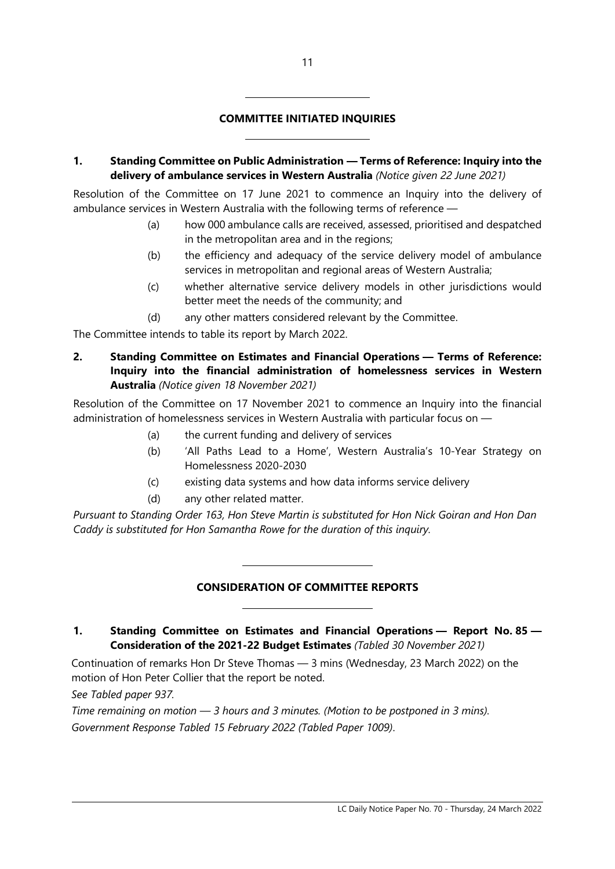# COMMITTEE INITIATED INQUIRIES

 $\overline{a}$ 

 $\overline{a}$ 

1. Standing Committee on Public Administration — Terms of Reference: Inquiry into the delivery of ambulance services in Western Australia (Notice given 22 June 2021)

Resolution of the Committee on 17 June 2021 to commence an Inquiry into the delivery of ambulance services in Western Australia with the following terms of reference —

- (a) how 000 ambulance calls are received, assessed, prioritised and despatched in the metropolitan area and in the regions;
- (b) the efficiency and adequacy of the service delivery model of ambulance services in metropolitan and regional areas of Western Australia;
- (c) whether alternative service delivery models in other jurisdictions would better meet the needs of the community; and
- (d) any other matters considered relevant by the Committee.

The Committee intends to table its report by March 2022.

2. Standing Committee on Estimates and Financial Operations — Terms of Reference: Inquiry into the financial administration of homelessness services in Western Australia (Notice given 18 November 2021)

Resolution of the Committee on 17 November 2021 to commence an Inquiry into the financial administration of homelessness services in Western Australia with particular focus on —

- (a) the current funding and delivery of services
- (b) 'All Paths Lead to a Home', Western Australia's 10-Year Strategy on Homelessness 2020-2030
- (c) existing data systems and how data informs service delivery
- (d) any other related matter.

 $\overline{a}$ 

 $\overline{a}$ 

Pursuant to Standing Order 163, Hon Steve Martin is substituted for Hon Nick Goiran and Hon Dan Caddy is substituted for Hon Samantha Rowe for the duration of this inquiry.

#### CONSIDERATION OF COMMITTEE REPORTS

# 1. Standing Committee on Estimates and Financial Operations — Report No. 85 — Consideration of the 2021-22 Budget Estimates (Tabled 30 November 2021)

Continuation of remarks Hon Dr Steve Thomas — 3 mins (Wednesday, 23 March 2022) on the motion of Hon Peter Collier that the report be noted.

See Tabled paper 937.

Time remaining on motion — 3 hours and 3 minutes. (Motion to be postponed in 3 mins). Government Response Tabled 15 February 2022 (Tabled Paper 1009).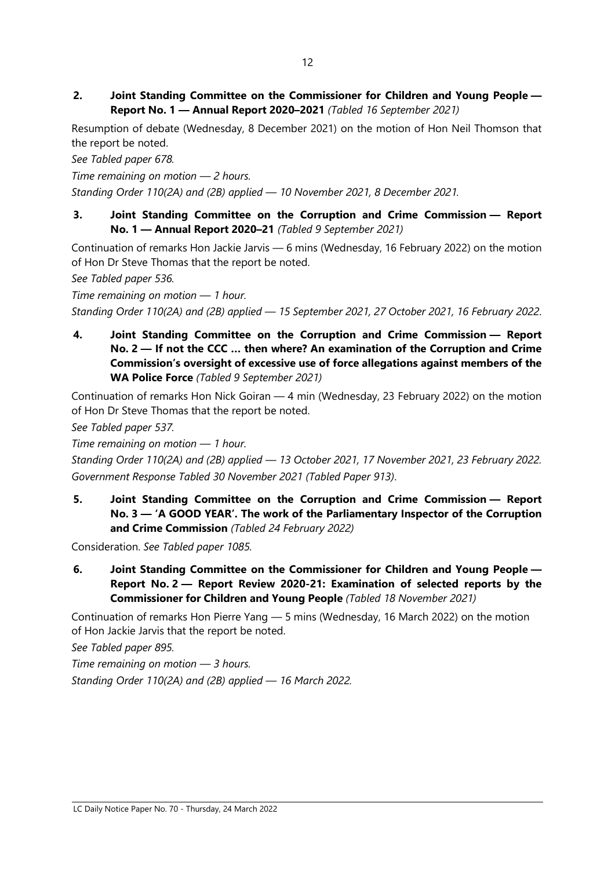2. Joint Standing Committee on the Commissioner for Children and Young People — Report No. 1 — Annual Report 2020–2021 (Tabled 16 September 2021)

Resumption of debate (Wednesday, 8 December 2021) on the motion of Hon Neil Thomson that the report be noted.

See Tabled paper 678.

Time remaining on motion — 2 hours.

Standing Order 110(2A) and (2B) applied — 10 November 2021, 8 December 2021.

3. Joint Standing Committee on the Corruption and Crime Commission — Report No. 1 — Annual Report 2020–21 (Tabled 9 September 2021)

Continuation of remarks Hon Jackie Jarvis — 6 mins (Wednesday, 16 February 2022) on the motion of Hon Dr Steve Thomas that the report be noted.

See Tabled paper 536.

Time remaining on motion — 1 hour. Standing Order 110(2A) and (2B) applied — 15 September 2021, 27 October 2021, 16 February 2022.

4. Joint Standing Committee on the Corruption and Crime Commission — Report No. 2 — If not the CCC … then where? An examination of the Corruption and Crime Commission's oversight of excessive use of force allegations against members of the WA Police Force (Tabled 9 September 2021)

Continuation of remarks Hon Nick Goiran — 4 min (Wednesday, 23 February 2022) on the motion of Hon Dr Steve Thomas that the report be noted.

See Tabled paper 537.

Time remaining on motion — 1 hour.

Standing Order 110(2A) and (2B) applied — 13 October 2021, 17 November 2021, 23 February 2022. Government Response Tabled 30 November 2021 (Tabled Paper 913).

5. Joint Standing Committee on the Corruption and Crime Commission — Report No. 3 — 'A GOOD YEAR'. The work of the Parliamentary Inspector of the Corruption and Crime Commission (Tabled 24 February 2022)

Consideration. See Tabled paper 1085.

6. Joint Standing Committee on the Commissioner for Children and Young People — Report No. 2 — Report Review 2020-21: Examination of selected reports by the Commissioner for Children and Young People (Tabled 18 November 2021)

Continuation of remarks Hon Pierre Yang — 5 mins (Wednesday, 16 March 2022) on the motion of Hon Jackie Jarvis that the report be noted.

See Tabled paper 895.

Time remaining on motion — 3 hours. Standing Order 110(2A) and (2B) applied — 16 March 2022.